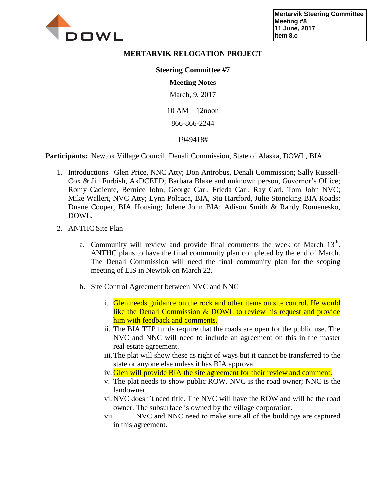

## **MERTARVIK RELOCATION PROJECT**

## **Steering Committee #7**

## **Meeting Notes**

March, 9, 2017

10 AM – 12noon

866-866-2244

## 1949418#

**Participants:** Newtok Village Council, Denali Commission, State of Alaska, DOWL, BIA

- 1. Introductions –Glen Price, NNC Atty; Don Antrobus, Denali Commission; Sally Russell-Cox & Jill Furbish, AkDCEED; Barbara Blake and unknown person, Governor's Office; Romy Cadiente, Bernice John, George Carl, Frieda Carl, Ray Carl, Tom John NVC; Mike Walleri, NVC Atty; Lynn Polcaca, BIA, Stu Hartford, Julie Stoneking BIA Roads; Duane Cooper, BIA Housing; Jolene John BIA; Adison Smith & Randy Romenesko, DOWL.
- 2. ANTHC Site Plan
	- a. Community will review and provide final comments the week of March  $13<sup>th</sup>$ . ANTHC plans to have the final community plan completed by the end of March. The Denali Commission will need the final community plan for the scoping meeting of EIS in Newtok on March 22.
	- b. Site Control Agreement between NVC and NNC
		- i. Glen needs guidance on the rock and other items on site control. He would like the Denali Commission & DOWL to review his request and provide him with feedback and comments.
		- ii. The BIA TTP funds require that the roads are open for the public use. The NVC and NNC will need to include an agreement on this in the master real estate agreement.
		- iii.The plat will show these as right of ways but it cannot be transferred to the state or anyone else unless it has BIA approval.
		- iv. Glen will provide BIA the site agreement for their review and comment.
		- v. The plat needs to show public ROW. NVC is the road owner; NNC is the landowner.
		- vi. NVC doesn't need title. The NVC will have the ROW and will be the road owner. The subsurface is owned by the village corporation.
		- vii. NVC and NNC need to make sure all of the buildings are captured in this agreement.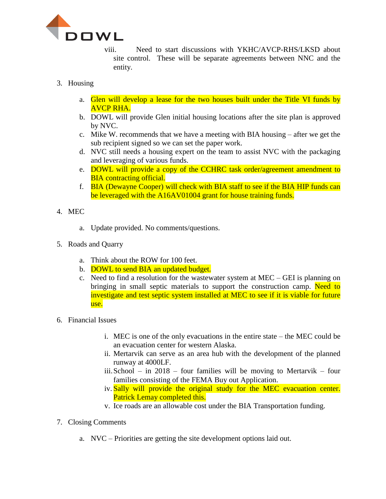

viii. Need to start discussions with YKHC/AVCP-RHS/LKSD about site control. These will be separate agreements between NNC and the entity.

- 3. Housing
	- a. Glen will develop a lease for the two houses built under the Title VI funds by AVCP RHA.
	- b. DOWL will provide Glen initial housing locations after the site plan is approved by NVC.
	- c. Mike W. recommends that we have a meeting with BIA housing after we get the sub recipient signed so we can set the paper work.
	- d. NVC still needs a housing expert on the team to assist NVC with the packaging and leveraging of various funds.
	- e. DOWL will provide a copy of the CCHRC task order/agreement amendment to **BIA** contracting official.
	- f. BIA (Dewayne Cooper) will check with BIA staff to see if the BIA HIP funds can be leveraged with the A16AV01004 grant for house training funds.
- 4. MEC
	- a. Update provided. No comments/questions.
- 5. Roads and Quarry
	- a. Think about the ROW for 100 feet.
	- b. DOWL to send BIA an updated budget.
	- c. Need to find a resolution for the wastewater system at MEC GEI is planning on bringing in small septic materials to support the construction camp. Need to investigate and test septic system installed at MEC to see if it is viable for future use.
- 6. Financial Issues
	- i. MEC is one of the only evacuations in the entire state the MEC could be an evacuation center for western Alaska.
	- ii. Mertarvik can serve as an area hub with the development of the planned runway at 4000LF.
	- iii. School in 2018 four families will be moving to Mertarvik four families consisting of the FEMA Buy out Application.
	- iv. Sally will provide the original study for the MEC evacuation center. Patrick Lemay completed this.
	- v. Ice roads are an allowable cost under the BIA Transportation funding.
- 7. Closing Comments
	- a. NVC Priorities are getting the site development options laid out.